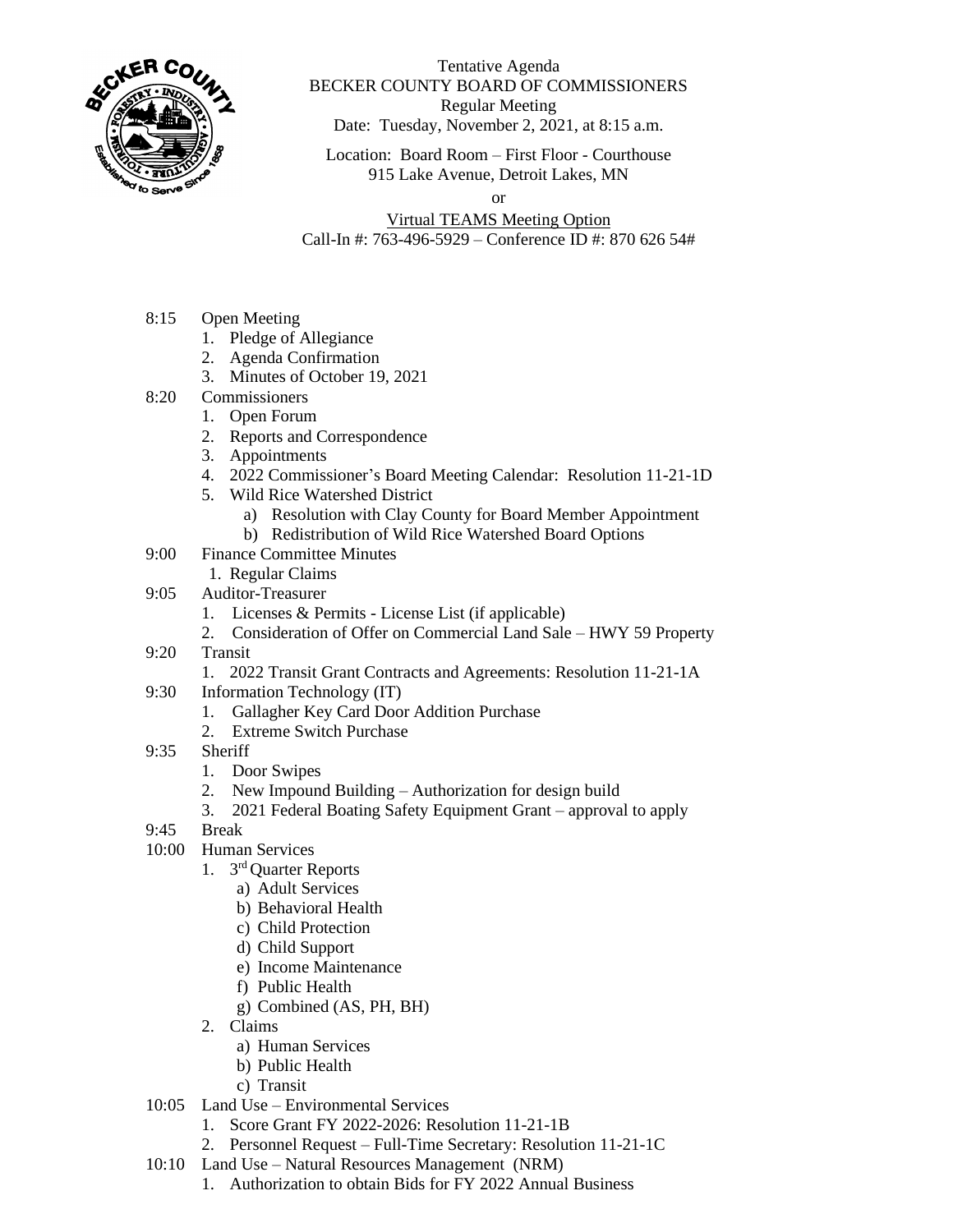

## Tentative Agenda BECKER COUNTY BOARD OF COMMISSIONERS Regular Meeting Date: Tuesday, November 2, 2021, at 8:15 a.m.

Location: Board Room – First Floor - Courthouse 915 Lake Avenue, Detroit Lakes, MN

or

Virtual TEAMS Meeting Option Call-In #: 763-496-5929 – Conference ID #: 870 626 54#

- 8:15 Open Meeting
	- 1. Pledge of Allegiance
	- 2. Agenda Confirmation
	- 3. Minutes of October 19, 2021
- 8:20 Commissioners
	- 1. Open Forum
	- 2. Reports and Correspondence
	- 3. Appointments
	- 4. 2022 Commissioner's Board Meeting Calendar: Resolution 11-21-1D
	- 5. Wild Rice Watershed District
		- a) Resolution with Clay County for Board Member Appointment
		- b) Redistribution of Wild Rice Watershed Board Options
- 9:00 Finance Committee Minutes
	- 1. Regular Claims
- 9:05 Auditor-Treasurer
	- 1. Licenses & Permits License List (if applicable)
	- 2. Consideration of Offer on Commercial Land Sale HWY 59 Property
- 9:20 Transit
	- 1. 2022 Transit Grant Contracts and Agreements: Resolution 11-21-1A
- 9:30 Information Technology (IT)
	- 1. Gallagher Key Card Door Addition Purchase
	- 2. Extreme Switch Purchase
- 9:35 Sheriff
	- 1. Door Swipes
	- 2. New Impound Building Authorization for design build
	- 3. 2021 Federal Boating Safety Equipment Grant approval to apply
- 9:45 Break
- 10:00 Human Services
	- 1. 3<sup>rd</sup> Quarter Reports
		- a) Adult Services
		- b) Behavioral Health
		- c) Child Protection
		- d) Child Support
		- e) Income Maintenance
		- f) Public Health
		- g) Combined (AS, PH, BH)
	- 2. Claims
		- a) Human Services
		- b) Public Health
		- c) Transit
- 10:05 Land Use Environmental Services
	- 1. Score Grant FY 2022-2026: Resolution 11-21-1B
		- 2. Personnel Request Full-Time Secretary: Resolution 11-21-1C
- 10:10 Land Use Natural Resources Management (NRM)
	- 1. Authorization to obtain Bids for FY 2022 Annual Business